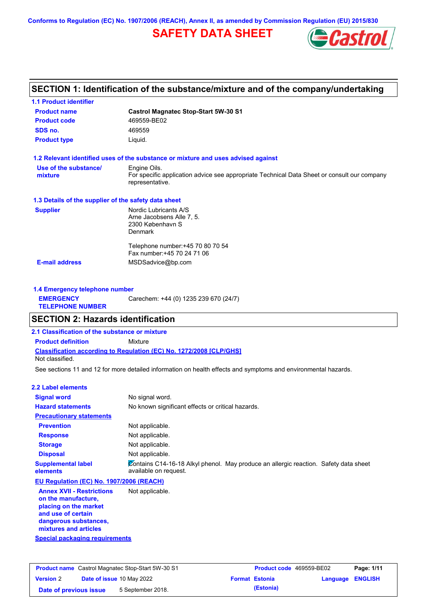**Conforms to Regulation (EC) No. 1907/2006 (REACH), Annex II, as amended by Commission Regulation (EU) 2015/830**

# **SAFETY DATA SHEET**



# **SECTION 1: Identification of the substance/mixture and of the company/undertaking**

| <b>1.1 Product identifier</b>                        |                                                                                                                |
|------------------------------------------------------|----------------------------------------------------------------------------------------------------------------|
| <b>Product name</b>                                  | <b>Castrol Magnatec Stop-Start 5W-30 S1</b>                                                                    |
| <b>Product code</b>                                  | 469559-BE02                                                                                                    |
| SDS no.                                              | 469559                                                                                                         |
| <b>Product type</b>                                  | Liquid.                                                                                                        |
|                                                      | 1.2 Relevant identified uses of the substance or mixture and uses advised against                              |
| Use of the substance/                                | Engine Oils.                                                                                                   |
| mixture                                              | For specific application advice see appropriate Technical Data Sheet or consult our company<br>representative. |
| 1.3 Details of the supplier of the safety data sheet |                                                                                                                |
| <b>Supplier</b>                                      | Nordic Lubricants A/S                                                                                          |
|                                                      | Arne Jacobsens Alle 7, 5.                                                                                      |
|                                                      | 2300 København S                                                                                               |
|                                                      | <b>Denmark</b>                                                                                                 |
|                                                      | Telephone number: +45 70 80 70 54                                                                              |
|                                                      | Fax number: +45 70 24 71 06                                                                                    |
| <b>E-mail address</b>                                | MSDSadvice@bp.com                                                                                              |
|                                                      |                                                                                                                |
|                                                      |                                                                                                                |

| 1.4 Emergency telephone number              |                                       |  |  |
|---------------------------------------------|---------------------------------------|--|--|
| <b>EMERGENCY</b><br><b>TELEPHONE NUMBER</b> | Carechem: +44 (0) 1235 239 670 (24/7) |  |  |

## **SECTION 2: Hazards identification**

**2.1 Classification of the substance or mixture**

**Classification according to Regulation (EC) No. 1272/2008 [CLP/GHS] Product definition** Mixture Not classified.

See sections 11 and 12 for more detailed information on health effects and symptoms and environmental hazards.

### **2.2 Label elements**

| <b>Signal word</b>                                                               | No signal word.                                                                                               |
|----------------------------------------------------------------------------------|---------------------------------------------------------------------------------------------------------------|
| <b>Hazard statements</b>                                                         | No known significant effects or critical hazards.                                                             |
| <b>Precautionary statements</b>                                                  |                                                                                                               |
| <b>Prevention</b>                                                                | Not applicable.                                                                                               |
| <b>Response</b>                                                                  | Not applicable.                                                                                               |
| <b>Storage</b>                                                                   | Not applicable.                                                                                               |
| <b>Disposal</b>                                                                  | Not applicable.                                                                                               |
| <b>Supplemental label</b><br>elements                                            | Contains C14-16-18 Alkyl phenol. May produce an allergic reaction. Safety data sheet<br>available on request. |
| EU Regulation (EC) No. 1907/2006 (REACH)                                         |                                                                                                               |
| <b>Annex XVII - Restrictions</b><br>on the manufacture,<br>placing on the market | Not applicable.                                                                                               |

**placing on the market and use of certain dangerous substances, mixtures and articles**

**Special packaging requirements**

| <b>Product name</b> Castrol Magnatec Stop-Start 5W-30 S1 |  | <b>Product code</b> 469559-BE02  |  | Page: 1/11            |                  |  |
|----------------------------------------------------------|--|----------------------------------|--|-----------------------|------------------|--|
| <b>Version 2</b>                                         |  | <b>Date of issue 10 May 2022</b> |  | <b>Format Estonia</b> | Language ENGLISH |  |
| Date of previous issue                                   |  | 5 September 2018.                |  | (Estonia)             |                  |  |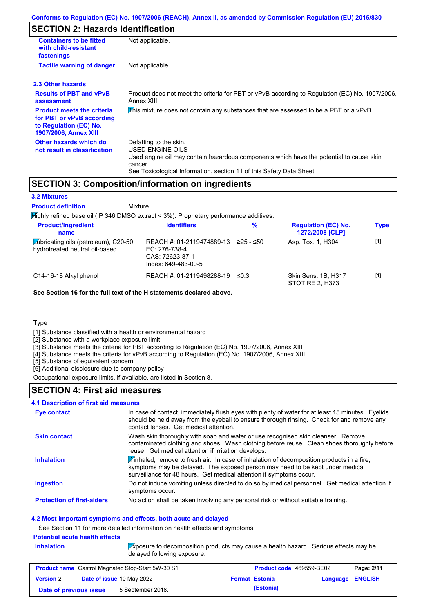# **SECTION 2: Hazards identification**

| <b>Containers to be fitted</b><br>with child-resistant<br>fastenings                                                     | Not applicable.                                                                                                                                                                                                          |
|--------------------------------------------------------------------------------------------------------------------------|--------------------------------------------------------------------------------------------------------------------------------------------------------------------------------------------------------------------------|
| <b>Tactile warning of danger</b>                                                                                         | Not applicable.                                                                                                                                                                                                          |
| 2.3 Other hazards                                                                                                        |                                                                                                                                                                                                                          |
| <b>Results of PBT and vPvB</b><br>assessment                                                                             | Product does not meet the criteria for PBT or vPvB according to Regulation (EC) No. 1907/2006,<br>Annex XIII.                                                                                                            |
| <b>Product meets the criteria</b><br>for PBT or vPvB according<br>to Regulation (EC) No.<br><b>1907/2006, Annex XIII</b> | This mixture does not contain any substances that are assessed to be a PBT or a vPvB.                                                                                                                                    |
| Other hazards which do<br>not result in classification                                                                   | Defatting to the skin.<br>USED ENGINE OILS<br>Used engine oil may contain hazardous components which have the potential to cause skin<br>cancer.<br>See Toxicological Information, section 11 of this Safety Data Sheet. |

## **SECTION 3: Composition/information on ingredients**

### **3.2 Mixtures**

Mixture **Product definition**

| $H$ ighly refined base oil (IP 346 DMSO extract < 3%). Proprietary performance additives. |                                                                                      |             |                                               |             |  |
|-------------------------------------------------------------------------------------------|--------------------------------------------------------------------------------------|-------------|-----------------------------------------------|-------------|--|
| <b>Product/ingredient</b><br>name                                                         | <b>Identifiers</b>                                                                   | %           | <b>Regulation (EC) No.</b><br>1272/2008 [CLP] | <b>Type</b> |  |
| Lubricating oils (petroleum), C20-50,<br>hydrotreated neutral oil-based                   | REACH #: 01-2119474889-13<br>EC: 276-738-4<br>CAS: 72623-87-1<br>Index: 649-483-00-5 | $≥25 - ≤50$ | Asp. Tox. 1, H304                             | $[1]$       |  |
| C14-16-18 Alkyl phenol                                                                    | REACH #: 01-2119498288-19                                                            | ≤0.3        | Skin Sens. 1B, H317<br>STOT RE 2. H373        | $[1]$       |  |

**See Section 16 for the full text of the H statements declared above.**

**Type** 

[1] Substance classified with a health or environmental hazard

[2] Substance with a workplace exposure limit

[3] Substance meets the criteria for PBT according to Regulation (EC) No. 1907/2006, Annex XIII

[4] Substance meets the criteria for vPvB according to Regulation (EC) No. 1907/2006, Annex XIII

[5] Substance of equivalent concern

[6] Additional disclosure due to company policy

Occupational exposure limits, if available, are listed in Section 8.

### **SECTION 4: First aid measures**

# **4.1 Description of first aid measures**

| Eye contact                       | In case of contact, immediately flush eyes with plenty of water for at least 15 minutes. Eyelids<br>should be held away from the eyeball to ensure thorough rinsing. Check for and remove any<br>contact lenses. Get medical attention.           |
|-----------------------------------|---------------------------------------------------------------------------------------------------------------------------------------------------------------------------------------------------------------------------------------------------|
| <b>Skin contact</b>               | Wash skin thoroughly with soap and water or use recognised skin cleanser. Remove<br>contaminated clothing and shoes. Wash clothing before reuse. Clean shoes thoroughly before<br>reuse. Get medical attention if irritation develops.            |
| <b>Inhalation</b>                 | Finhaled, remove to fresh air. In case of inhalation of decomposition products in a fire,<br>symptoms may be delayed. The exposed person may need to be kept under medical<br>surveillance for 48 hours. Get medical attention if symptoms occur. |
| <b>Ingestion</b>                  | Do not induce vomiting unless directed to do so by medical personnel. Get medical attention if<br>symptoms occur.                                                                                                                                 |
| <b>Protection of first-aiders</b> | No action shall be taken involving any personal risk or without suitable training.                                                                                                                                                                |

### **4.2 Most important symptoms and effects, both acute and delayed**

See Section 11 for more detailed information on health effects and symptoms.

### **Potential acute health effects**

**Inhalation** Exposure to decomposition products may cause a health hazard. Serious effects may be delayed following exposure.

| <b>Product name</b> Castrol Magnatec Stop-Start 5W-30 S1 |  | <b>Product code</b> 469559-BE02  |  | Page: 2/11            |                         |  |
|----------------------------------------------------------|--|----------------------------------|--|-----------------------|-------------------------|--|
| <b>Version 2</b>                                         |  | <b>Date of issue 10 May 2022</b> |  | <b>Format Estonia</b> | <b>Language ENGLISH</b> |  |
| Date of previous issue                                   |  | 5 September 2018.                |  | (Estonia)             |                         |  |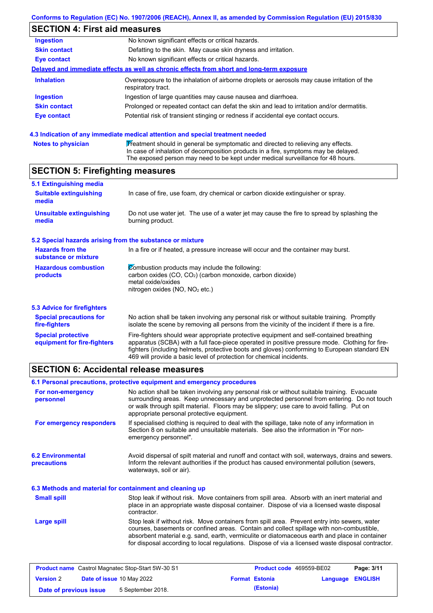## **SECTION 4: First aid measures**

| <b>Ingestion</b>    | No known significant effects or critical hazards.                                                                 |
|---------------------|-------------------------------------------------------------------------------------------------------------------|
| <b>Skin contact</b> | Defatting to the skin. May cause skin dryness and irritation.                                                     |
| <b>Eye contact</b>  | No known significant effects or critical hazards.                                                                 |
|                     | Delayed and immediate effects as well as chronic effects from short and long-term exposure                        |
| <b>Inhalation</b>   | Overexposure to the inhalation of airborne droplets or aerosols may cause irritation of the<br>respiratory tract. |
| <b>Ingestion</b>    | Ingestion of large quantities may cause nausea and diarrhoea.                                                     |
| <b>Skin contact</b> | Prolonged or repeated contact can defat the skin and lead to irritation and/or dermatitis.                        |
| Eye contact         | Potential risk of transient stinging or redness if accidental eye contact occurs.                                 |
|                     |                                                                                                                   |
|                     |                                                                                                                   |

### **4.3 Indication of any immediate medical attention and special treatment needed**

| <b>Notes to physician</b> | Treatment should in general be symptomatic and directed to relieving any effects.   |
|---------------------------|-------------------------------------------------------------------------------------|
|                           | In case of inhalation of decomposition products in a fire, symptoms may be delayed. |
|                           | The exposed person may need to be kept under medical surveillance for 48 hours.     |

## **SECTION 5: Firefighting measures**

| 5.1 Extinguishing media                                   |                                                                                                                                                                                                                                                                                           |
|-----------------------------------------------------------|-------------------------------------------------------------------------------------------------------------------------------------------------------------------------------------------------------------------------------------------------------------------------------------------|
| <b>Suitable extinguishing</b><br>media                    | In case of fire, use foam, dry chemical or carbon dioxide extinguisher or spray.                                                                                                                                                                                                          |
| <b>Unsuitable extinguishing</b><br>media                  | Do not use water jet. The use of a water jet may cause the fire to spread by splashing the<br>burning product.                                                                                                                                                                            |
| 5.2 Special hazards arising from the substance or mixture |                                                                                                                                                                                                                                                                                           |
| <b>Hazards from the</b><br>substance or mixture           | In a fire or if heated, a pressure increase will occur and the container may burst.                                                                                                                                                                                                       |
| <b>Hazardous combustion</b><br>products                   | Combustion products may include the following:<br>carbon oxides (CO, CO <sub>2</sub> ) (carbon monoxide, carbon dioxide)<br>metal oxide/oxides<br>nitrogen oxides (NO, NO <sub>2</sub> etc.)                                                                                              |
| 5.3 Advice for firefighters                               |                                                                                                                                                                                                                                                                                           |
| <b>Special precautions for</b><br>fire-fighters           | No action shall be taken involving any personal risk or without suitable training. Promptly<br>isolate the scene by removing all persons from the vicinity of the incident if there is a fire.                                                                                            |
| <b>Special protective</b><br>equipment for fire-fighters  | Fire-fighters should wear appropriate protective equipment and self-contained breathing<br>apparatus (SCBA) with a full face-piece operated in positive pressure mode. Clothing for fire-<br>fighters (including helmets, protective boots and gloves) conforming to European standard EN |

## **SECTION 6: Accidental release measures**

**6.2 Environmental precautions** Stop leak if without risk. Move containers from spill area. Prevent entry into sewers, water courses, basements or confined areas. Contain and collect spillage with non-combustible, absorbent material e.g. sand, earth, vermiculite or diatomaceous earth and place in container for disposal according to local regulations. Dispose of via a licensed waste disposal contractor. Avoid dispersal of spilt material and runoff and contact with soil, waterways, drains and sewers. Inform the relevant authorities if the product has caused environmental pollution (sewers, waterways, soil or air). **Large spill** Stop leak if without risk. Move containers from spill area. Absorb with an inert material and place in an appropriate waste disposal container. Dispose of via a licensed waste disposal contractor. **Small spill 6.3 Methods and material for containment and cleaning up 6.1 Personal precautions, protective equipment and emergency procedures For non-emergency personnel For emergency responders** No action shall be taken involving any personal risk or without suitable training. Evacuate surrounding areas. Keep unnecessary and unprotected personnel from entering. Do not touch or walk through spilt material. Floors may be slippery; use care to avoid falling. Put on appropriate personal protective equipment. If specialised clothing is required to deal with the spillage, take note of any information in Section 8 on suitable and unsuitable materials. See also the information in "For nonemergency personnel".

469 will provide a basic level of protection for chemical incidents.

| <b>Product name</b> Castrol Magnatec Stop-Start 5W-30 S1 |  | Product code 469559-BE02         |  | Page: 3/11            |                         |  |
|----------------------------------------------------------|--|----------------------------------|--|-----------------------|-------------------------|--|
| <b>Version 2</b>                                         |  | <b>Date of issue 10 May 2022</b> |  | <b>Format Estonia</b> | <b>Language ENGLISH</b> |  |
| Date of previous issue                                   |  | 5 September 2018.                |  | (Estonia)             |                         |  |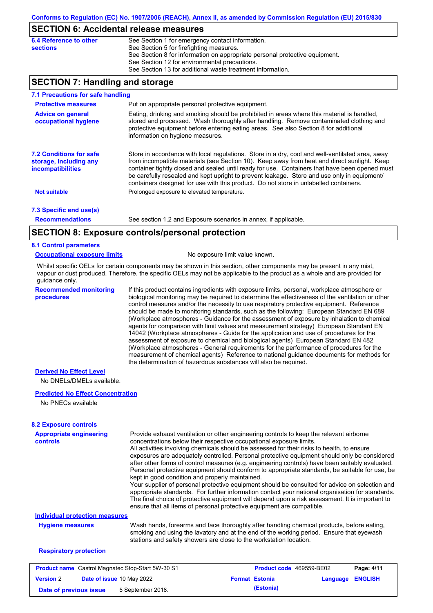## **SECTION 6: Accidental release measures**

| 6.4 Reference to other | See Section 1 for emergency contact information.                            |
|------------------------|-----------------------------------------------------------------------------|
| sections               | See Section 5 for firefighting measures.                                    |
|                        | See Section 8 for information on appropriate personal protective equipment. |
|                        | See Section 12 for environmental precautions.                               |
|                        | See Section 13 for additional waste treatment information.                  |

## **SECTION 7: Handling and storage**

| 7.1 Precautions for safe handling                                                    |                                                                                                                                                                                                                                                                                                                                                                                                                                                                                          |
|--------------------------------------------------------------------------------------|------------------------------------------------------------------------------------------------------------------------------------------------------------------------------------------------------------------------------------------------------------------------------------------------------------------------------------------------------------------------------------------------------------------------------------------------------------------------------------------|
| <b>Protective measures</b>                                                           | Put on appropriate personal protective equipment.                                                                                                                                                                                                                                                                                                                                                                                                                                        |
| <b>Advice on general</b><br>occupational hygiene                                     | Eating, drinking and smoking should be prohibited in areas where this material is handled,<br>stored and processed. Wash thoroughly after handling. Remove contaminated clothing and<br>protective equipment before entering eating areas. See also Section 8 for additional<br>information on hygiene measures.                                                                                                                                                                         |
| <b>7.2 Conditions for safe</b><br>storage, including any<br><i>incompatibilities</i> | Store in accordance with local regulations. Store in a dry, cool and well-ventilated area, away<br>from incompatible materials (see Section 10). Keep away from heat and direct sunlight. Keep<br>container tightly closed and sealed until ready for use. Containers that have been opened must<br>be carefully resealed and kept upright to prevent leakage. Store and use only in equipment/<br>containers designed for use with this product. Do not store in unlabelled containers. |
| <b>Not suitable</b>                                                                  | Prolonged exposure to elevated temperature.                                                                                                                                                                                                                                                                                                                                                                                                                                              |
| 7.3 Specific end use(s)                                                              |                                                                                                                                                                                                                                                                                                                                                                                                                                                                                          |
| <b>Recommendations</b>                                                               | See section 1.2 and Exposure scenarios in annex, if applicable.                                                                                                                                                                                                                                                                                                                                                                                                                          |
|                                                                                      | CECTION 0. Evacours controlains regard protection                                                                                                                                                                                                                                                                                                                                                                                                                                        |

# **SECTION 8: Exposure controls/personal protection**

### **8.1 Control parameters**

#### **Occupational exposure limits** No exposure limit value known.

Whilst specific OELs for certain components may be shown in this section, other components may be present in any mist, vapour or dust produced. Therefore, the specific OELs may not be applicable to the product as a whole and are provided for guidance only.

**Recommended monitoring procedures**

If this product contains ingredients with exposure limits, personal, workplace atmosphere or biological monitoring may be required to determine the effectiveness of the ventilation or other control measures and/or the necessity to use respiratory protective equipment. Reference should be made to monitoring standards, such as the following: European Standard EN 689 (Workplace atmospheres - Guidance for the assessment of exposure by inhalation to chemical agents for comparison with limit values and measurement strategy) European Standard EN 14042 (Workplace atmospheres - Guide for the application and use of procedures for the assessment of exposure to chemical and biological agents) European Standard EN 482 (Workplace atmospheres - General requirements for the performance of procedures for the measurement of chemical agents) Reference to national guidance documents for methods for the determination of hazardous substances will also be required.

### **Derived No Effect Level**

No DNELs/DMELs available.

### **Predicted No Effect Concentration**

No PNECs available

| <b>Appropriate engineering</b><br><b>controls</b>        | Provide exhaust ventilation or other engineering controls to keep the relevant airborne<br>concentrations below their respective occupational exposure limits.<br>All activities involving chemicals should be assessed for their risks to health, to ensure<br>exposures are adequately controlled. Personal protective equipment should only be considered<br>after other forms of control measures (e.g. engineering controls) have been suitably evaluated.<br>Personal protective equipment should conform to appropriate standards, be suitable for use, be<br>kept in good condition and properly maintained.<br>Your supplier of personal protective equipment should be consulted for advice on selection and<br>appropriate standards. For further information contact your national organisation for standards. |                                 |          |                |
|----------------------------------------------------------|----------------------------------------------------------------------------------------------------------------------------------------------------------------------------------------------------------------------------------------------------------------------------------------------------------------------------------------------------------------------------------------------------------------------------------------------------------------------------------------------------------------------------------------------------------------------------------------------------------------------------------------------------------------------------------------------------------------------------------------------------------------------------------------------------------------------------|---------------------------------|----------|----------------|
|                                                          | The final choice of protective equipment will depend upon a risk assessment. It is important to<br>ensure that all items of personal protective equipment are compatible.                                                                                                                                                                                                                                                                                                                                                                                                                                                                                                                                                                                                                                                  |                                 |          |                |
| <b>Individual protection measures</b>                    |                                                                                                                                                                                                                                                                                                                                                                                                                                                                                                                                                                                                                                                                                                                                                                                                                            |                                 |          |                |
| <b>Hygiene measures</b>                                  | Wash hands, forearms and face thoroughly after handling chemical products, before eating,<br>smoking and using the lavatory and at the end of the working period. Ensure that eyewash<br>stations and safety showers are close to the workstation location.                                                                                                                                                                                                                                                                                                                                                                                                                                                                                                                                                                |                                 |          |                |
| <b>Respiratory protection</b>                            |                                                                                                                                                                                                                                                                                                                                                                                                                                                                                                                                                                                                                                                                                                                                                                                                                            |                                 |          |                |
| <b>Product name</b> Castrol Magnatec Stop-Start 5W-30 S1 |                                                                                                                                                                                                                                                                                                                                                                                                                                                                                                                                                                                                                                                                                                                                                                                                                            | <b>Product code</b> 469559-BE02 |          | Page: 4/11     |
| <b>Version 2</b><br>Date of issue 10 May 2022            |                                                                                                                                                                                                                                                                                                                                                                                                                                                                                                                                                                                                                                                                                                                                                                                                                            | <b>Format Estonia</b>           | Language | <b>ENGLISH</b> |

**Date of previous issue** 5 September 2018. **(Estonia)** (Estonia)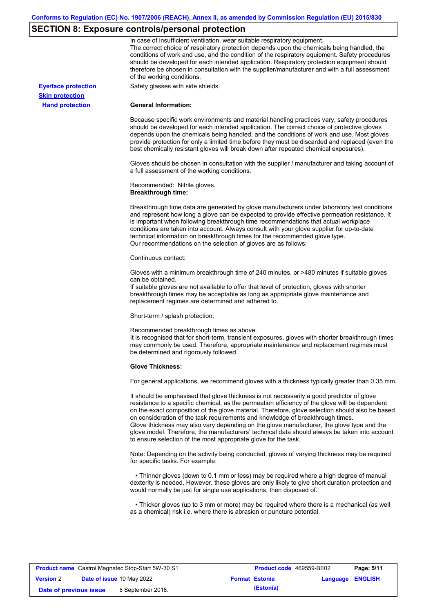# **SECTION 8: Exposure controls/personal protection**

|                            | In case of insufficient ventilation, wear suitable respiratory equipment.<br>The correct choice of respiratory protection depends upon the chemicals being handled, the<br>conditions of work and use, and the condition of the respiratory equipment. Safety procedures<br>should be developed for each intended application. Respiratory protection equipment should<br>therefore be chosen in consultation with the supplier/manufacturer and with a full assessment<br>of the working conditions.                                                                                                                                             |
|----------------------------|---------------------------------------------------------------------------------------------------------------------------------------------------------------------------------------------------------------------------------------------------------------------------------------------------------------------------------------------------------------------------------------------------------------------------------------------------------------------------------------------------------------------------------------------------------------------------------------------------------------------------------------------------|
| <b>Eye/face protection</b> | Safety glasses with side shields.                                                                                                                                                                                                                                                                                                                                                                                                                                                                                                                                                                                                                 |
| <b>Skin protection</b>     |                                                                                                                                                                                                                                                                                                                                                                                                                                                                                                                                                                                                                                                   |
| <b>Hand protection</b>     | <b>General Information:</b>                                                                                                                                                                                                                                                                                                                                                                                                                                                                                                                                                                                                                       |
|                            | Because specific work environments and material handling practices vary, safety procedures<br>should be developed for each intended application. The correct choice of protective gloves<br>depends upon the chemicals being handled, and the conditions of work and use. Most gloves<br>provide protection for only a limited time before they must be discarded and replaced (even the<br>best chemically resistant gloves will break down after repeated chemical exposures).                                                                                                                                                                  |
|                            | Gloves should be chosen in consultation with the supplier / manufacturer and taking account of<br>a full assessment of the working conditions.                                                                                                                                                                                                                                                                                                                                                                                                                                                                                                    |
|                            | Recommended: Nitrile gloves.<br><b>Breakthrough time:</b>                                                                                                                                                                                                                                                                                                                                                                                                                                                                                                                                                                                         |
|                            | Breakthrough time data are generated by glove manufacturers under laboratory test conditions<br>and represent how long a glove can be expected to provide effective permeation resistance. It<br>is important when following breakthrough time recommendations that actual workplace<br>conditions are taken into account. Always consult with your glove supplier for up-to-date<br>technical information on breakthrough times for the recommended glove type.<br>Our recommendations on the selection of gloves are as follows:                                                                                                                |
|                            | Continuous contact:                                                                                                                                                                                                                                                                                                                                                                                                                                                                                                                                                                                                                               |
|                            | Gloves with a minimum breakthrough time of 240 minutes, or >480 minutes if suitable gloves<br>can be obtained.<br>If suitable gloves are not available to offer that level of protection, gloves with shorter<br>breakthrough times may be acceptable as long as appropriate glove maintenance and<br>replacement regimes are determined and adhered to.                                                                                                                                                                                                                                                                                          |
|                            | Short-term / splash protection:                                                                                                                                                                                                                                                                                                                                                                                                                                                                                                                                                                                                                   |
|                            | Recommended breakthrough times as above.<br>It is recognised that for short-term, transient exposures, gloves with shorter breakthrough times<br>may commonly be used. Therefore, appropriate maintenance and replacement regimes must<br>be determined and rigorously followed.                                                                                                                                                                                                                                                                                                                                                                  |
|                            | <b>Glove Thickness:</b>                                                                                                                                                                                                                                                                                                                                                                                                                                                                                                                                                                                                                           |
|                            | For general applications, we recommend gloves with a thickness typically greater than 0.35 mm.                                                                                                                                                                                                                                                                                                                                                                                                                                                                                                                                                    |
|                            | It should be emphasised that glove thickness is not necessarily a good predictor of glove<br>resistance to a specific chemical, as the permeation efficiency of the glove will be dependent<br>on the exact composition of the glove material. Therefore, glove selection should also be based<br>on consideration of the task requirements and knowledge of breakthrough times.<br>Glove thickness may also vary depending on the glove manufacturer, the glove type and the<br>glove model. Therefore, the manufacturers' technical data should always be taken into account<br>to ensure selection of the most appropriate glove for the task. |
|                            | Note: Depending on the activity being conducted, gloves of varying thickness may be required<br>for specific tasks. For example:                                                                                                                                                                                                                                                                                                                                                                                                                                                                                                                  |
|                            | • Thinner gloves (down to 0.1 mm or less) may be required where a high degree of manual<br>dexterity is needed. However, these gloves are only likely to give short duration protection and<br>would normally be just for single use applications, then disposed of.                                                                                                                                                                                                                                                                                                                                                                              |
|                            | • Thicker gloves (up to 3 mm or more) may be required where there is a mechanical (as well<br>as a chemical) risk i.e. where there is abrasion or puncture potential.                                                                                                                                                                                                                                                                                                                                                                                                                                                                             |

| <b>Product name</b> Castrol Magnatec Stop-Start 5W-30 S1 |  |                                  | <b>Product code</b> 469559-BE02 |                       | Page: 5/11              |  |
|----------------------------------------------------------|--|----------------------------------|---------------------------------|-----------------------|-------------------------|--|
| <b>Version 2</b>                                         |  | <b>Date of issue 10 May 2022</b> |                                 | <b>Format Estonia</b> | <b>Language ENGLISH</b> |  |
| Date of previous issue                                   |  | 5 September 2018.                |                                 | (Estonia)             |                         |  |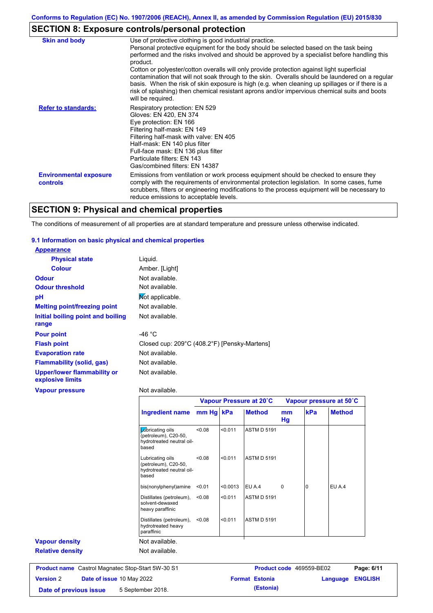# **SECTION 8: Exposure controls/personal protection**

| <b>Skin and body</b>                             | Use of protective clothing is good industrial practice.                                                                                                                                                                                                                                                                                                                                                                                                                                               |
|--------------------------------------------------|-------------------------------------------------------------------------------------------------------------------------------------------------------------------------------------------------------------------------------------------------------------------------------------------------------------------------------------------------------------------------------------------------------------------------------------------------------------------------------------------------------|
|                                                  | Personal protective equipment for the body should be selected based on the task being<br>performed and the risks involved and should be approved by a specialist before handling this<br>product.<br>Cotton or polyester/cotton overalls will only provide protection against light superficial<br>contamination that will not soak through to the skin. Overalls should be laundered on a regular<br>basis. When the risk of skin exposure is high (e.g. when cleaning up spillages or if there is a |
|                                                  | risk of splashing) then chemical resistant aprons and/or impervious chemical suits and boots<br>will be required.                                                                                                                                                                                                                                                                                                                                                                                     |
| <b>Refer to standards:</b>                       | Respiratory protection: EN 529<br>Gloves: EN 420, EN 374<br>Eye protection: EN 166<br>Filtering half-mask: EN 149<br>Filtering half-mask with valve: EN 405<br>Half-mask: EN 140 plus filter<br>Full-face mask: EN 136 plus filter<br>Particulate filters: EN 143<br>Gas/combined filters: EN 14387                                                                                                                                                                                                   |
| <b>Environmental exposure</b><br><b>controls</b> | Emissions from ventilation or work process equipment should be checked to ensure they<br>comply with the requirements of environmental protection legislation. In some cases, fume<br>scrubbers, filters or engineering modifications to the process equipment will be necessary to<br>reduce emissions to acceptable levels.                                                                                                                                                                         |

# **SECTION 9: Physical and chemical properties**

The conditions of measurement of all properties are at standard temperature and pressure unless otherwise indicated.

### **9.1 Information on basic physical and chemical properties**

**Version** 2

| <b>Appearance</b>                               |                                              |
|-------------------------------------------------|----------------------------------------------|
| <b>Physical state</b>                           | Liquid.                                      |
| <b>Colour</b>                                   | Amber. [Light]                               |
| <b>Odour</b>                                    | Not available.                               |
| <b>Odour threshold</b>                          | Not available.                               |
| рH                                              | Mot applicable.                              |
| <b>Melting point/freezing point</b>             | Not available.                               |
| Initial boiling point and boiling<br>range      | Not available.                               |
| <b>Pour point</b>                               | -46 $^{\circ}$ C                             |
| <b>Flash point</b>                              | Closed cup: 209°C (408.2°F) [Pensky-Martens] |
| <b>Evaporation rate</b>                         | Not available.                               |
| <b>Flammability (solid, gas)</b>                | Not available.                               |
| Upper/lower flammability or<br>explosive limits | Not available.                               |
| <b>Vapour pressure</b>                          | Not available.                               |

|                         |                                                                                | Vapour Pressure at 20°C |          |                    | Vapour pressure at 50°C |          |               |
|-------------------------|--------------------------------------------------------------------------------|-------------------------|----------|--------------------|-------------------------|----------|---------------|
|                         | <b>Ingredient name</b>                                                         | mm Hg kPa               |          | <b>Method</b>      | mm<br>Hg                | kPa      | <b>Method</b> |
|                         | Lubricating oils<br>(petroleum), C20-50,<br>hydrotreated neutral oil-<br>based | < 0.08                  | < 0.011  | <b>ASTM D 5191</b> |                         |          |               |
|                         | Lubricating oils<br>(petroleum), C20-50,<br>hydrotreated neutral oil-<br>based | < 0.08                  | < 0.011  | <b>ASTM D 5191</b> |                         |          |               |
|                         | bis(nonylphenyl)amine                                                          | < 0.01                  | < 0.0013 | EU A.4             | 0                       | $\Omega$ | EU A.4        |
|                         | Distillates (petroleum),<br>solvent-dewaxed<br>heavy paraffinic                | < 0.08                  | < 0.011  | <b>ASTM D 5191</b> |                         |          |               |
|                         | Distillates (petroleum),<br>hydrotreated heavy<br>paraffinic                   | < 0.08                  | < 0.011  | <b>ASTM D 5191</b> |                         |          |               |
| <b>Vapour density</b>   | Not available.                                                                 |                         |          |                    |                         |          |               |
| <b>Relative density</b> | Not available.                                                                 |                         |          |                    |                         |          |               |

**Date of issue** 10 May 2022 **Format Estonia Language ENGLISH Date of previous issue** 5 September 2018. **(Estonia)** (Estonia)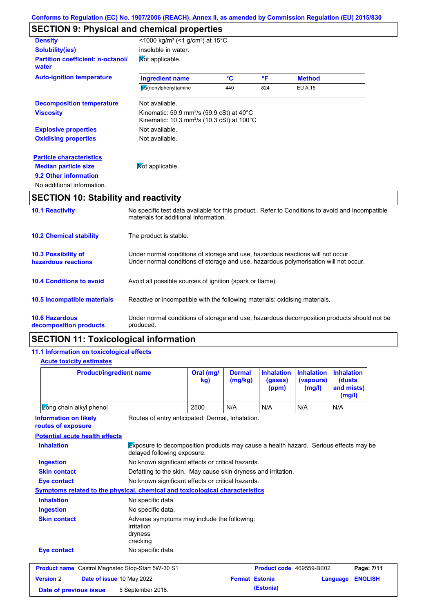# **SECTION 9: Physical and chemical properties**

| <b>Density</b>                                    | <1000 kg/m <sup>3</sup> (<1 g/cm <sup>3</sup> ) at 15 <sup>°</sup> C                                                                  |     |     |                |  |
|---------------------------------------------------|---------------------------------------------------------------------------------------------------------------------------------------|-----|-----|----------------|--|
| <b>Solubility(ies)</b>                            | insoluble in water.                                                                                                                   |     |     |                |  |
| <b>Partition coefficient: n-octanol/</b><br>water | Mot applicable.                                                                                                                       |     |     |                |  |
| <b>Auto-ignition temperature</b>                  | <b>Ingredient name</b>                                                                                                                | °C  | °F  | <b>Method</b>  |  |
|                                                   | bis(nonylphenyl)amine                                                                                                                 | 440 | 824 | <b>EU A.15</b> |  |
| <b>Decomposition temperature</b>                  | Not available.                                                                                                                        |     |     |                |  |
| <b>Viscosity</b>                                  | Kinematic: 59.9 mm <sup>2</sup> /s (59.9 cSt) at 40 $^{\circ}$ C<br>Kinematic: 10.3 mm <sup>2</sup> /s (10.3 cSt) at 100 $^{\circ}$ C |     |     |                |  |
| <b>Explosive properties</b>                       | Not available.                                                                                                                        |     |     |                |  |
| <b>Oxidising properties</b>                       | Not available.                                                                                                                        |     |     |                |  |
| <b>Particle characteristics</b>                   |                                                                                                                                       |     |     |                |  |
| <b>Median particle size</b>                       | Mot applicable.                                                                                                                       |     |     |                |  |
| 9.2 Other information                             |                                                                                                                                       |     |     |                |  |
| No additional information.                        |                                                                                                                                       |     |     |                |  |
| <b>SECTION 10: Stability and reactivity</b>       |                                                                                                                                       |     |     |                |  |

| <b>10.1 Reactivity</b>                            | No specific test data available for this product. Refer to Conditions to avoid and Incompatible<br>materials for additional information.                                |
|---------------------------------------------------|-------------------------------------------------------------------------------------------------------------------------------------------------------------------------|
| <b>10.2 Chemical stability</b>                    | The product is stable.                                                                                                                                                  |
| <b>10.3 Possibility of</b><br>hazardous reactions | Under normal conditions of storage and use, hazardous reactions will not occur.<br>Under normal conditions of storage and use, hazardous polymerisation will not occur. |
| <b>10.4 Conditions to avoid</b>                   | Avoid all possible sources of ignition (spark or flame).                                                                                                                |
| <b>10.5 Incompatible materials</b>                | Reactive or incompatible with the following materials: oxidising materials.                                                                                             |
| <b>10.6 Hazardous</b><br>decomposition products   | Under normal conditions of storage and use, hazardous decomposition products should not be<br>produced.                                                                 |

# **SECTION 11: Toxicological information**

## **11.1 Information on toxicological effects**

### **Acute toxicity estimates**

| <b>Product/ingredient name</b>                                                                                                                                                                                                                                 |                                                                                  | Oral (mg/<br>kg)                                              | <b>Dermal</b><br>(mg/kg) | <b>Inhalation</b><br>(gases)<br>(ppm) | <b>Inhalation</b><br>(vapours)<br>(mg/l) | <b>Inhalation</b><br><b>(dusts)</b><br>and mists)<br>(mg/l) |
|----------------------------------------------------------------------------------------------------------------------------------------------------------------------------------------------------------------------------------------------------------------|----------------------------------------------------------------------------------|---------------------------------------------------------------|--------------------------|---------------------------------------|------------------------------------------|-------------------------------------------------------------|
| Zong chain alkyl phenol                                                                                                                                                                                                                                        |                                                                                  | 2500                                                          | N/A                      | N/A                                   | N/A                                      | N/A                                                         |
| Routes of entry anticipated: Dermal, Inhalation.<br><b>Information on likely</b><br>routes of exposure                                                                                                                                                         |                                                                                  |                                                               |                          |                                       |                                          |                                                             |
| <b>Potential acute health effects</b>                                                                                                                                                                                                                          |                                                                                  |                                                               |                          |                                       |                                          |                                                             |
| Exposure to decomposition products may cause a health hazard. Serious effects may be<br><b>Inhalation</b><br>delayed following exposure.<br>No known significant effects or critical hazards.<br><b>Ingestion</b><br><b>Skin contact</b><br><b>Eye contact</b> |                                                                                  |                                                               |                          |                                       |                                          |                                                             |
|                                                                                                                                                                                                                                                                |                                                                                  |                                                               |                          |                                       |                                          |                                                             |
|                                                                                                                                                                                                                                                                |                                                                                  | Defatting to the skin. May cause skin dryness and irritation. |                          |                                       |                                          |                                                             |
|                                                                                                                                                                                                                                                                |                                                                                  | No known significant effects or critical hazards.             |                          |                                       |                                          |                                                             |
| Symptoms related to the physical, chemical and toxicological characteristics                                                                                                                                                                                   |                                                                                  |                                                               |                          |                                       |                                          |                                                             |
| <b>Inhalation</b>                                                                                                                                                                                                                                              | No specific data.                                                                |                                                               |                          |                                       |                                          |                                                             |
| <b>Ingestion</b>                                                                                                                                                                                                                                               | No specific data.                                                                |                                                               |                          |                                       |                                          |                                                             |
| <b>Skin contact</b>                                                                                                                                                                                                                                            | Adverse symptoms may include the following:<br>irritation<br>dryness<br>cracking |                                                               |                          |                                       |                                          |                                                             |
| <b>Eye contact</b>                                                                                                                                                                                                                                             | No specific data.                                                                |                                                               |                          |                                       |                                          |                                                             |
| <b>Product name</b> Castrol Magnatec Stop-Start 5W-30 S1                                                                                                                                                                                                       |                                                                                  |                                                               |                          | Product code 469559-BE02              |                                          | Page: 7/11                                                  |
| <b>Version 2</b><br>Date of issue 10 May 2022                                                                                                                                                                                                                  |                                                                                  |                                                               | <b>Format Estonia</b>    |                                       |                                          | <b>ENGLISH</b><br>Language                                  |
| 5 September 2018.<br>Date of previous issue                                                                                                                                                                                                                    |                                                                                  |                                                               |                          | (Estonia)                             |                                          |                                                             |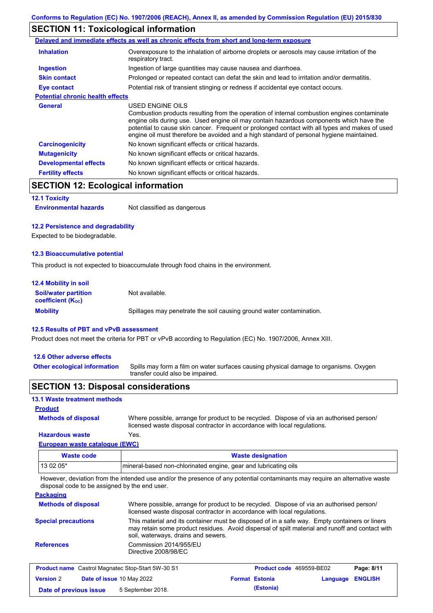# **SECTION 11: Toxicological information**

|                                         | Delayed and immediate effects as well as chronic effects from short and long-term exposure                                                                                                                                                                                                                                                                                                               |
|-----------------------------------------|----------------------------------------------------------------------------------------------------------------------------------------------------------------------------------------------------------------------------------------------------------------------------------------------------------------------------------------------------------------------------------------------------------|
| <b>Inhalation</b>                       | Overexposure to the inhalation of airborne droplets or aerosols may cause irritation of the<br>respiratory tract.                                                                                                                                                                                                                                                                                        |
| <b>Ingestion</b>                        | Ingestion of large quantities may cause nausea and diarrhoea.                                                                                                                                                                                                                                                                                                                                            |
| <b>Skin contact</b>                     | Prolonged or repeated contact can defat the skin and lead to irritation and/or dermatitis.                                                                                                                                                                                                                                                                                                               |
| Eye contact                             | Potential risk of transient stinging or redness if accidental eye contact occurs.                                                                                                                                                                                                                                                                                                                        |
| <b>Potential chronic health effects</b> |                                                                                                                                                                                                                                                                                                                                                                                                          |
| <b>General</b>                          | USED ENGINE OILS<br>Combustion products resulting from the operation of internal combustion engines contaminate<br>engine oils during use. Used engine oil may contain hazardous components which have the<br>potential to cause skin cancer. Frequent or prolonged contact with all types and makes of used<br>engine oil must therefore be avoided and a high standard of personal hygiene maintained. |
| <b>Carcinogenicity</b>                  | No known significant effects or critical hazards.                                                                                                                                                                                                                                                                                                                                                        |
| <b>Mutagenicity</b>                     | No known significant effects or critical hazards.                                                                                                                                                                                                                                                                                                                                                        |
| <b>Developmental effects</b>            | No known significant effects or critical hazards.                                                                                                                                                                                                                                                                                                                                                        |
| <b>Fertility effects</b>                | No known significant effects or critical hazards.                                                                                                                                                                                                                                                                                                                                                        |

# **SECTION 12: Ecological information**

#### **12.1 Toxicity**

**Environmental hazards** Not classified as dangerous

### **12.2 Persistence and degradability**

Expected to be biodegradable.

#### **12.3 Bioaccumulative potential**

This product is not expected to bioaccumulate through food chains in the environment.

| <b>12.4 Mobility in soil</b>                            |                                                                      |
|---------------------------------------------------------|----------------------------------------------------------------------|
| <b>Soil/water partition</b><br><b>coefficient (Koc)</b> | Not available.                                                       |
| <b>Mobility</b>                                         | Spillages may penetrate the soil causing ground water contamination. |

### **12.5 Results of PBT and vPvB assessment**

Product does not meet the criteria for PBT or vPvB according to Regulation (EC) No. 1907/2006, Annex XIII.

### **12.6 Other adverse effects**

Spills may form a film on water surfaces causing physical damage to organisms. Oxygen transfer could also be impaired. **Other ecological information**

## **SECTION 13: Disposal considerations**

### **13.1 Waste treatment methods**

### **Product**

**Methods of disposal**

Where possible, arrange for product to be recycled. Dispose of via an authorised person/ licensed waste disposal contractor in accordance with local regulations.

**Hazardous waste** Yes.

| European waste catalogue (EWC) |                                                                  |  |
|--------------------------------|------------------------------------------------------------------|--|
| <b>Waste code</b>              | <b>Waste designation</b>                                         |  |
| 13 02 05*                      | Imineral-based non-chlorinated engine, gear and lubricating oils |  |

However, deviation from the intended use and/or the presence of any potential contaminants may require an alternative waste disposal code to be assigned by the end user.

#### **Packaging**

| <b>Methods of disposal</b> | Where possible, arrange for product to be recycled. Dispose of via an authorised person/<br>licensed waste disposal contractor in accordance with local regulations.                                                                    |
|----------------------------|-----------------------------------------------------------------------------------------------------------------------------------------------------------------------------------------------------------------------------------------|
| <b>Special precautions</b> | This material and its container must be disposed of in a safe way. Empty containers or liners<br>may retain some product residues. Avoid dispersal of spilt material and runoff and contact with<br>soil, waterways, drains and sewers. |
| <b>References</b>          | Commission 2014/955/EU<br>Directive 2008/98/EC                                                                                                                                                                                          |

| <b>Product name</b> Castrol Magnatec Stop-Start 5W-30 S1 |  | Product code 469559-BE02         |  | Page: 8/11            |                         |  |
|----------------------------------------------------------|--|----------------------------------|--|-----------------------|-------------------------|--|
| <b>Version 2</b>                                         |  | <b>Date of issue 10 May 2022</b> |  | <b>Format Estonia</b> | <b>Language ENGLISH</b> |  |
| Date of previous issue                                   |  | 5 September 2018.                |  | (Estonia)             |                         |  |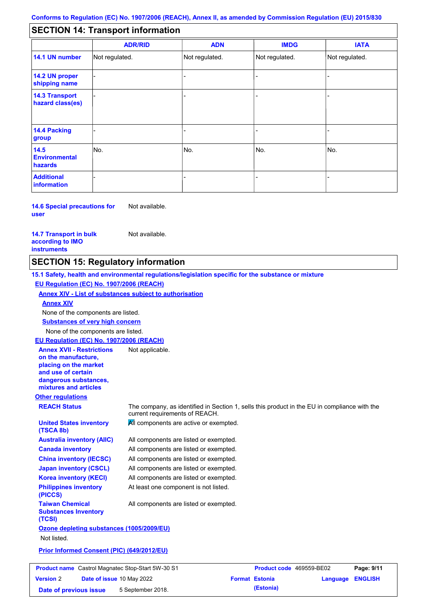#### - - - - - - - - - Not regulated. Not regulated. Not regulated. - - - **SECTION 14: Transport information ADR/RID IMDG IATA 14.1 UN number 14.2 UN proper shipping name 14.3 Transport hazard class(es) 14.4 Packing group ADN Additional information 14.5 Environmental hazards** No. 1980 | No. 1980 | No. 1980 | No. 1980 | No. 1980 | No. 1980 | No. 1980 | No. 1980 | No. 1980 | No. 1980 | Not regulated. - -<br>No. - -

**14.6 Special precautions for user** Not available.

**14.7 Transport in bulk according to IMO instruments**

**Version** 2

Not available.

# **SECTION 15: Regulatory information**

**Other regulations REACH Status** The company, as identified in Section 1, sells this product in the EU in compliance with the current requirements of REACH. **15.1 Safety, health and environmental regulations/legislation specific for the substance or mixture EU Regulation (EC) No. 1907/2006 (REACH) Annex XIV - List of substances subject to authorisation Substances of very high concern** None of the components are listed. All components are listed or exempted. All components are listed or exempted. All components are listed or exempted. All components are listed or exempted. All components are active or exempted. All components are listed or exempted. At least one component is not listed. **United States inventory (TSCA 8b) Australia inventory (AIIC) Canada inventory China inventory (IECSC) Japan inventory (CSCL) Korea inventory (KECI) Philippines inventory (PICCS) Taiwan Chemical Substances Inventory (TCSI)** All components are listed or exempted. **Ozone depleting substances (1005/2009/EU)** Not listed. **Prior Informed Consent (PIC) (649/2012/EU)** None of the components are listed. **Annex XIV EU Regulation (EC) No. 1907/2006 (REACH) Annex XVII - Restrictions on the manufacture, placing on the market and use of certain dangerous substances, mixtures and articles** Not applicable. **Product name** Castrol Magnatec Stop-Start 5W-30 S1 **Product code** 469559-BE02 **Page: 9/11** 

**Date of issue** 10 May 2022 **Format Estonia Language ENGLISH**

**Date of previous issue** 5 September 2018. **(Estonia) (Estonia)**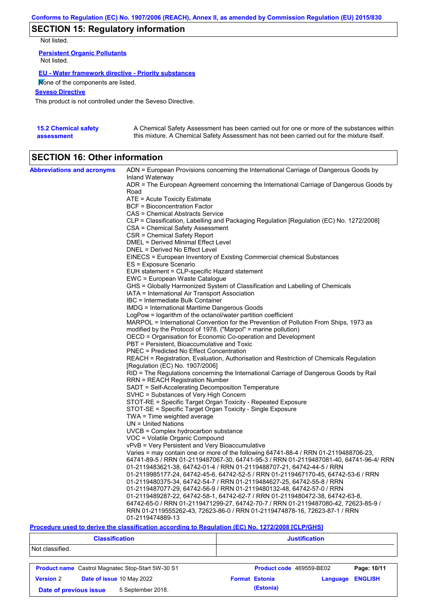# **SECTION 15: Regulatory information**

Not listed.

**Persistent Organic Pollutants** Not listed.

### **EU - Water framework directive - Priority substances**

None of the components are listed.

**Seveso Directive**

This product is not controlled under the Seveso Directive.

| <b>15.2 Chemical safety</b> | A Chemical Safety Assessment has been carried out for one or more of the substances within  |
|-----------------------------|---------------------------------------------------------------------------------------------|
| assessment                  | this mixture. A Chemical Safety Assessment has not been carried out for the mixture itself. |

# **SECTION 16: Other information**

| <b>Abbreviations and acronyms</b> | ADN = European Provisions concerning the International Carriage of Dangerous Goods by                                           |
|-----------------------------------|---------------------------------------------------------------------------------------------------------------------------------|
|                                   | Inland Waterway<br>ADR = The European Agreement concerning the International Carriage of Dangerous Goods by                     |
|                                   | Road                                                                                                                            |
|                                   | ATE = Acute Toxicity Estimate                                                                                                   |
|                                   | BCF = Bioconcentration Factor                                                                                                   |
|                                   | CAS = Chemical Abstracts Service                                                                                                |
|                                   | CLP = Classification, Labelling and Packaging Regulation [Regulation (EC) No. 1272/2008]                                        |
|                                   | CSA = Chemical Safety Assessment                                                                                                |
|                                   | CSR = Chemical Safety Report                                                                                                    |
|                                   | DMEL = Derived Minimal Effect Level                                                                                             |
|                                   | DNEL = Derived No Effect Level                                                                                                  |
|                                   | EINECS = European Inventory of Existing Commercial chemical Substances                                                          |
|                                   | ES = Exposure Scenario                                                                                                          |
|                                   | EUH statement = CLP-specific Hazard statement                                                                                   |
|                                   | EWC = European Waste Catalogue                                                                                                  |
|                                   | GHS = Globally Harmonized System of Classification and Labelling of Chemicals<br>IATA = International Air Transport Association |
|                                   | IBC = Intermediate Bulk Container                                                                                               |
|                                   | IMDG = International Maritime Dangerous Goods                                                                                   |
|                                   | LogPow = logarithm of the octanol/water partition coefficient                                                                   |
|                                   | MARPOL = International Convention for the Prevention of Pollution From Ships, 1973 as                                           |
|                                   | modified by the Protocol of 1978. ("Marpol" = marine pollution)                                                                 |
|                                   | OECD = Organisation for Economic Co-operation and Development                                                                   |
|                                   | PBT = Persistent, Bioaccumulative and Toxic                                                                                     |
|                                   | <b>PNEC</b> = Predicted No Effect Concentration                                                                                 |
|                                   | REACH = Registration, Evaluation, Authorisation and Restriction of Chemicals Regulation                                         |
|                                   | [Regulation (EC) No. 1907/2006]                                                                                                 |
|                                   | RID = The Regulations concerning the International Carriage of Dangerous Goods by Rail                                          |
|                                   | <b>RRN = REACH Registration Number</b>                                                                                          |
|                                   | SADT = Self-Accelerating Decomposition Temperature                                                                              |
|                                   | SVHC = Substances of Very High Concern                                                                                          |
|                                   | STOT-RE = Specific Target Organ Toxicity - Repeated Exposure<br>STOT-SE = Specific Target Organ Toxicity - Single Exposure      |
|                                   | $TWA = Time$ weighted average                                                                                                   |
|                                   | $UN = United Nations$                                                                                                           |
|                                   | UVCB = Complex hydrocarbon substance                                                                                            |
|                                   | VOC = Volatile Organic Compound                                                                                                 |
|                                   | vPvB = Very Persistent and Very Bioaccumulative                                                                                 |
|                                   | Varies = may contain one or more of the following 64741-88-4 / RRN 01-2119488706-23,                                            |
|                                   | 64741-89-5 / RRN 01-2119487067-30, 64741-95-3 / RRN 01-2119487081-40, 64741-96-4/ RRN                                           |
|                                   | 01-2119483621-38, 64742-01-4 / RRN 01-2119488707-21, 64742-44-5 / RRN                                                           |
|                                   | 01-2119985177-24, 64742-45-6, 64742-52-5 / RRN 01-2119467170-45, 64742-53-6 / RRN                                               |
|                                   | 01-2119480375-34, 64742-54-7 / RRN 01-2119484627-25, 64742-55-8 / RRN                                                           |
|                                   | 01-2119487077-29, 64742-56-9 / RRN 01-2119480132-48, 64742-57-0 / RRN                                                           |
|                                   | 01-2119489287-22, 64742-58-1, 64742-62-7 / RRN 01-2119480472-38, 64742-63-8,                                                    |
|                                   | 64742-65-0 / RRN 01-2119471299-27, 64742-70-7 / RRN 01-2119487080-42, 72623-85-9 /                                              |
|                                   | RRN 01-2119555262-43, 72623-86-0 / RRN 01-2119474878-16, 72623-87-1 / RRN                                                       |
|                                   | 01-2119474889-13                                                                                                                |

### **Procedure used to derive the classification according to Regulation (EC) No. 1272/2008 [CLP/GHS]**

| <b>Classification</b>                       |                                                          |                          | <b>Justification</b> |                |  |  |  |
|---------------------------------------------|----------------------------------------------------------|--------------------------|----------------------|----------------|--|--|--|
| Not classified.                             |                                                          |                          |                      |                |  |  |  |
|                                             | <b>Product name</b> Castrol Magnatec Stop-Start 5W-30 S1 | Product code 469559-BE02 |                      | Page: 10/11    |  |  |  |
| <b>Version 2</b>                            | Date of issue 10 May 2022                                | <b>Format Estonia</b>    | Language             | <b>ENGLISH</b> |  |  |  |
| 5 September 2018.<br>Date of previous issue |                                                          | (Estonia)                |                      |                |  |  |  |